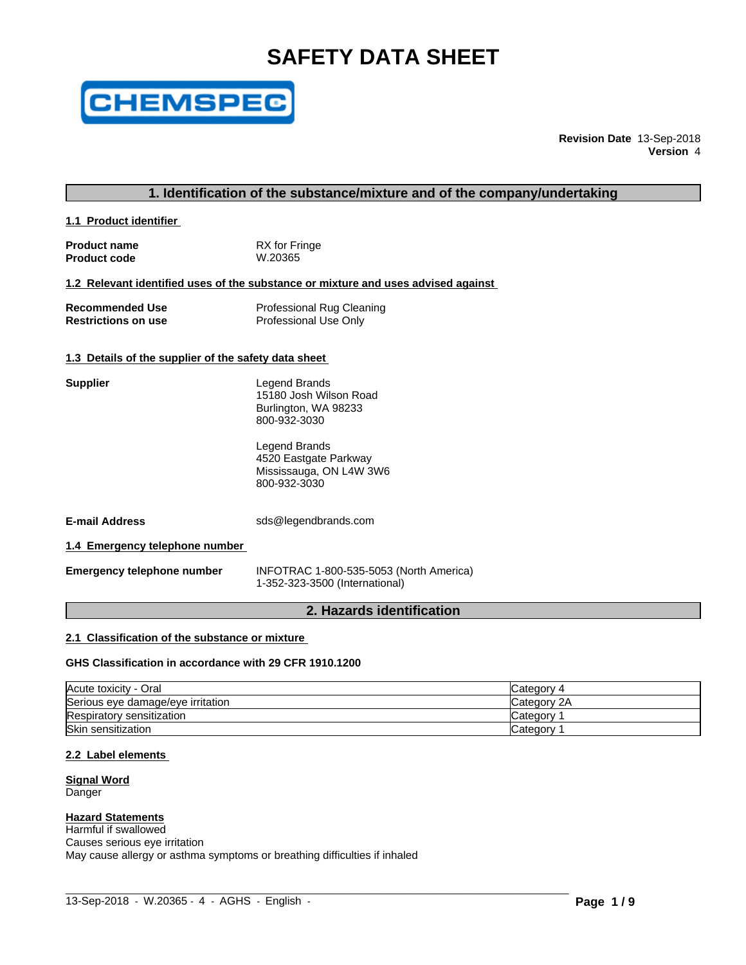# **SAFETY DATA SHEET**



**Revision Date** 13-Sep-2018 **Version** 4

#### **1. Identification of the substance/mixture and of the company/undertaking**

**1.1 Product identifier** 

| <b>Product name</b> | RX for Fringe |
|---------------------|---------------|
| <b>Product code</b> | W.20365       |

# **1.2 Relevant identified uses of the substance or mixture and uses advised against**

| <b>Recommended Use</b>     | <b>Professional Rug Cleaning</b> |
|----------------------------|----------------------------------|
| <b>Restrictions on use</b> | Professional Use Only            |

#### **1.3 Details of the supplier of the safety data sheet**

| <b>Supplier</b>                   | Legend Brands<br>15180 Josh Wilson Road<br>Burlington, WA 98233<br>800-932-3030   |
|-----------------------------------|-----------------------------------------------------------------------------------|
|                                   | Legend Brands<br>4520 Eastgate Parkway<br>Mississauga, ON L4W 3W6<br>800-932-3030 |
| <b>E-mail Address</b>             | sds@legendbrands.com                                                              |
| 1.4 Emergency telephone number    |                                                                                   |
| <b>Emergency telephone number</b> | INFOTRAC 1-800-535-5053 (North America)<br>1-352-323-3500 (International)         |

# **2. Hazards identification**

#### **2.1 Classification of the substance or mixture**

#### **GHS Classification in accordance with 29 CFR 1910.1200**

| Acute toxicity - Oral             | Category 4  |
|-----------------------------------|-------------|
| Serious eye damage/eye irritation | Category 2A |
| Respiratory sensitization         | Category    |
| <b>Skin sensitization</b>         | Category    |

 $\_$  ,  $\_$  ,  $\_$  ,  $\_$  ,  $\_$  ,  $\_$  ,  $\_$  ,  $\_$  ,  $\_$  ,  $\_$  ,  $\_$  ,  $\_$  ,  $\_$  ,  $\_$  ,  $\_$  ,  $\_$  ,  $\_$  ,  $\_$  ,  $\_$  ,  $\_$  ,  $\_$  ,  $\_$  ,  $\_$  ,  $\_$  ,  $\_$  ,  $\_$  ,  $\_$  ,  $\_$  ,  $\_$  ,  $\_$  ,  $\_$  ,  $\_$  ,  $\_$  ,  $\_$  ,  $\_$  ,  $\_$  ,  $\_$  ,

#### **2.2 Label elements**

**Signal Word Danger** 

#### **Hazard Statements**

Harmful if swallowed Causes serious eye irritation May cause allergy or asthma symptoms or breathing difficulties if inhaled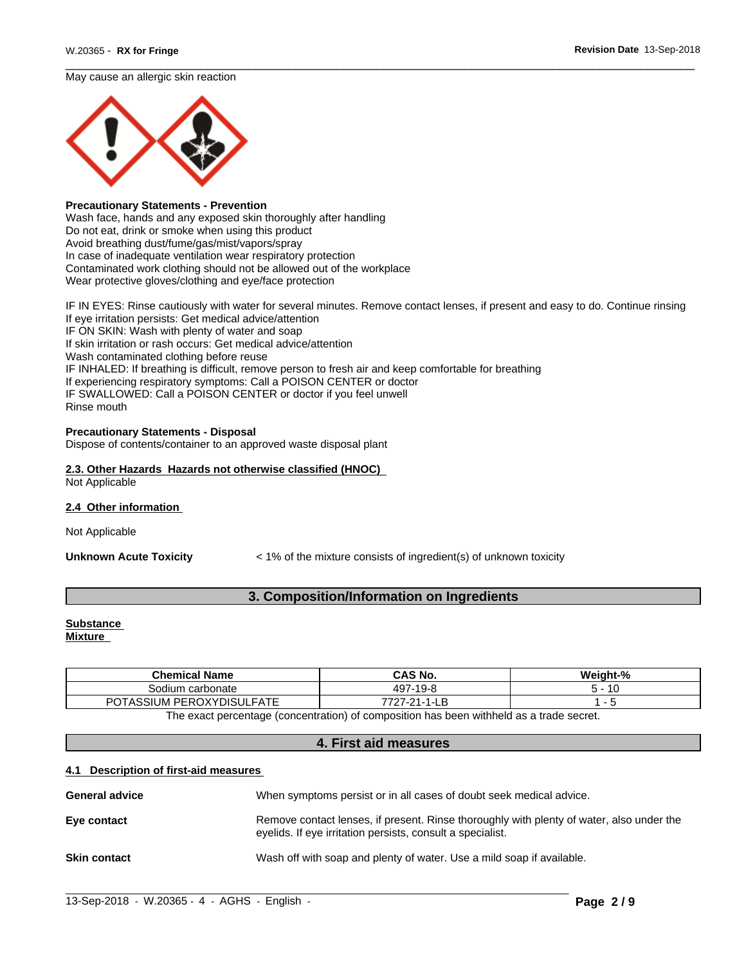#### May cause an allergic skin reaction



#### **Precautionary Statements - Prevention**

Wash face, hands and any exposed skin thoroughly after handling Do not eat, drink or smoke when using this product Avoid breathing dust/fume/gas/mist/vapors/spray In case of inadequate ventilation wear respiratory protection Contaminated work clothing should not be allowed out of the workplace Wear protective gloves/clothing and eye/face protection

IF IN EYES: Rinse cautiously with water for several minutes. Remove contact lenses, if present and easy to do. Continue rinsing If eye irritation persists: Get medical advice/attention IF ON SKIN: Wash with plenty of water and soap If skin irritation or rash occurs: Get medical advice/attention Wash contaminated clothing before reuse IF INHALED: If breathing is difficult, remove person to fresh air and keep comfortable for breathing If experiencing respiratory symptoms: Call a POISON CENTER or doctor IF SWALLOWED: Call a POISON CENTER or doctor if you feel unwell Rinse mouth

#### **Precautionary Statements - Disposal**

Dispose of contents/container to an approved waste disposal plant

#### **2.3. Other Hazards Hazards not otherwise classified (HNOC)** Not Applicable

#### **2.4 Other information**

Not Applicable

**Unknown Acute Toxicity**  $\lt$  1% of the mixture consists of ingredient(s) of unknown toxicity

# **3. Composition/Information on Ingredients**

# **Substance**

**Mixture**

| <b>Chemical Name</b>                     | <b>CAS No.</b>          | Weight-%       |
|------------------------------------------|-------------------------|----------------|
| carbonate                                | 497<br>-19-8<br>$\cdot$ | $\overline{A}$ |
| .FATE<br>' PEROXYDISUL.<br>⊤∩ח<br>`SIUM. | ラフハ<br>ີ<br>ъc<br>.     |                |

The exact percentage (concentration) of composition has been withheld as a trade secret.

#### **4. First aid measures**

#### **4.1 Description of first-aid measures**

| When symptoms persist or in all cases of doubt seek medical advice.                                                                                    |
|--------------------------------------------------------------------------------------------------------------------------------------------------------|
| Remove contact lenses, if present. Rinse thoroughly with plenty of water, also under the<br>evelids. If eye irritation persists, consult a specialist. |
| Wash off with soap and plenty of water. Use a mild soap if available.                                                                                  |
|                                                                                                                                                        |

 $\_$  ,  $\_$  ,  $\_$  ,  $\_$  ,  $\_$  ,  $\_$  ,  $\_$  ,  $\_$  ,  $\_$  ,  $\_$  ,  $\_$  ,  $\_$  ,  $\_$  ,  $\_$  ,  $\_$  ,  $\_$  ,  $\_$  ,  $\_$  ,  $\_$  ,  $\_$  ,  $\_$  ,  $\_$  ,  $\_$  ,  $\_$  ,  $\_$  ,  $\_$  ,  $\_$  ,  $\_$  ,  $\_$  ,  $\_$  ,  $\_$  ,  $\_$  ,  $\_$  ,  $\_$  ,  $\_$  ,  $\_$  ,  $\_$  ,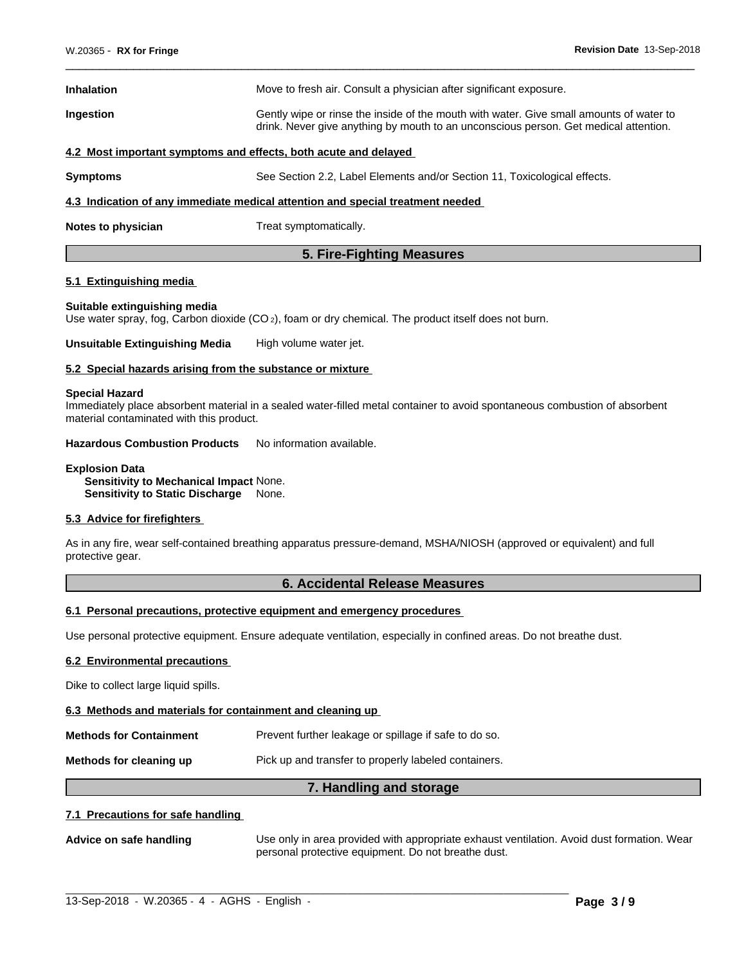| <b>Inhalation</b>                                                              | Move to fresh air. Consult a physician after significant exposure.                                                                                                              |  |  |
|--------------------------------------------------------------------------------|---------------------------------------------------------------------------------------------------------------------------------------------------------------------------------|--|--|
| Ingestion                                                                      | Gently wipe or rinse the inside of the mouth with water. Give small amounts of water to<br>drink. Never give anything by mouth to an unconscious person. Get medical attention. |  |  |
| 4.2 Most important symptoms and effects, both acute and delayed                |                                                                                                                                                                                 |  |  |
| <b>Symptoms</b>                                                                | See Section 2.2, Label Elements and/or Section 11, Toxicological effects.                                                                                                       |  |  |
| 4.3 Indication of any immediate medical attention and special treatment needed |                                                                                                                                                                                 |  |  |

**Notes to physician** Treat symptomatically.

# **5. Fire-Fighting Measures**

#### **5.1 Extinguishing media**

#### **Suitable extinguishing media**

Use water spray, fog, Carbon dioxide (CO<sub>2</sub>), foam or dry chemical. The product itself does not burn.

**Unsuitable Extinguishing Media** High volume water jet.

#### **5.2 Special hazards arising from the substance or mixture**

#### **Special Hazard**

Immediately place absorbent material in a sealed water-filled metal container to avoid spontaneous combustion of absorbent material contaminated with this product.

**Hazardous Combustion Products** No information available.

#### **Explosion Data Sensitivity to Mechanical Impact** None. **Sensitivity to Static Discharge** None.

#### **5.3 Advice for firefighters**

As in any fire, wear self-contained breathing apparatus pressure-demand, MSHA/NIOSH (approved or equivalent) and full protective gear.

#### **6. Accidental Release Measures**

#### **6.1 Personal precautions, protective equipment and emergency procedures**

Use personal protective equipment.Ensure adequate ventilation, especially in confined areas. Do not breathe dust.

#### **6.2 Environmental precautions**

Dike to collect large liquid spills.

#### **6.3 Methods and materials for containment and cleaning up**

**Methods for Containment** Prevent further leakage or spillage if safe to do so.

**Methods for cleaning up Pick** up and transfer to properly labeled containers.

# **7. Handling and storage**

 $\_$  ,  $\_$  ,  $\_$  ,  $\_$  ,  $\_$  ,  $\_$  ,  $\_$  ,  $\_$  ,  $\_$  ,  $\_$  ,  $\_$  ,  $\_$  ,  $\_$  ,  $\_$  ,  $\_$  ,  $\_$  ,  $\_$  ,  $\_$  ,  $\_$  ,  $\_$  ,  $\_$  ,  $\_$  ,  $\_$  ,  $\_$  ,  $\_$  ,  $\_$  ,  $\_$  ,  $\_$  ,  $\_$  ,  $\_$  ,  $\_$  ,  $\_$  ,  $\_$  ,  $\_$  ,  $\_$  ,  $\_$  ,  $\_$  ,

#### **7.1 Precautions for safe handling**

**Advice on safe handling** Use only in area provided with appropriate exhaust ventilation. Avoid dust formation. Wear personal protective equipment. Do not breathe dust.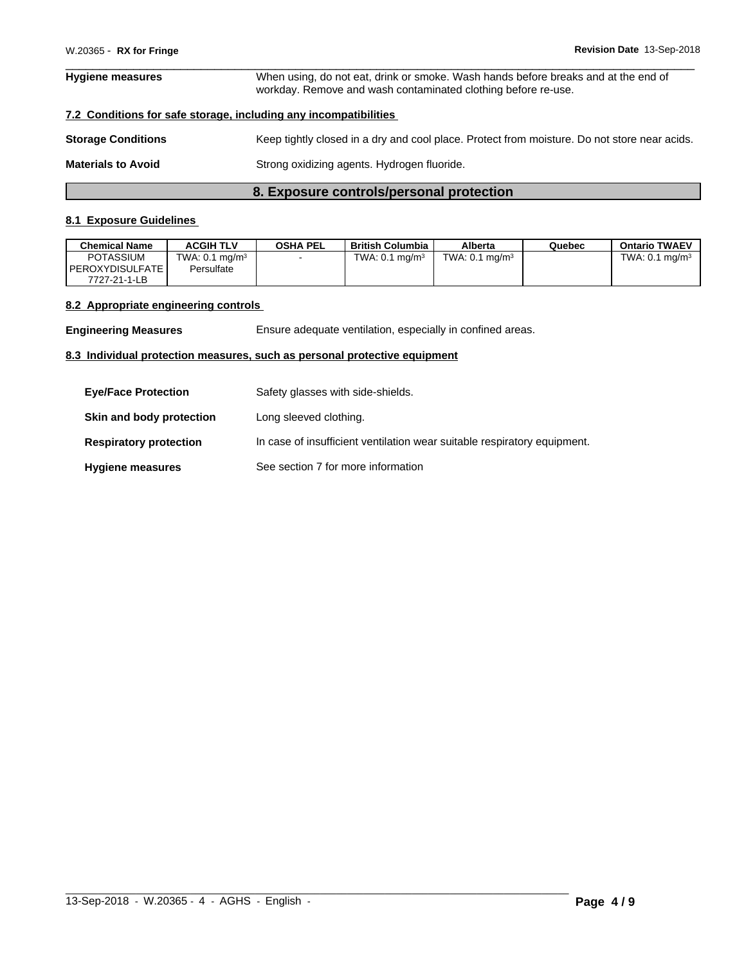# **Hygiene measures** When using, do not eat, drink or smoke. Wash hands before breaks and at the end of workday. Remove and wash contaminated clothing before re-use.

# **7.2 Conditions for safe storage, including any incompatibilities**

| <b>Storage Conditions</b> | Keep tightly closed in a dry and cool place. Protect from moisture. Do not store near acids. |
|---------------------------|----------------------------------------------------------------------------------------------|
| <b>Materials to Avoid</b> | Strong oxidizing agents. Hydrogen fluoride.                                                  |

# **8. Exposure controls/personal protection**

# **8.1 Exposure Guidelines**

| <b>Chemical Name</b>     | <b>ACGIH TLV</b>             | <b>OSHA PEL</b> | British Columbia       | Alberta                      | Quebec | <b>Ontario TWAEV</b>         |
|--------------------------|------------------------------|-----------------|------------------------|------------------------------|--------|------------------------------|
| <b>POTASSIUM</b>         | TWA: $0.1$ mg/m <sup>3</sup> |                 | , ma/m $3$<br>TWA: 0.1 | TWA: $0.1$ mg/m <sup>3</sup> |        | TWA: $0.1$ ma/m <sup>3</sup> |
| <b>I PEROXYDISULFATE</b> | Persulfate                   |                 |                        |                              |        |                              |
| 7727-21-1-LB             |                              |                 |                        |                              |        |                              |

# **8.2 Appropriate engineering controls**

**Engineering Measures** Ensure adequate ventilation, especially in confined areas.

# **8.3 Individual protection measures, such as personal protective equipment**

| <b>Eye/Face Protection</b>    | Safety glasses with side-shields.                                        |
|-------------------------------|--------------------------------------------------------------------------|
| Skin and body protection      | Long sleeved clothing.                                                   |
| <b>Respiratory protection</b> | In case of insufficient ventilation wear suitable respiratory equipment. |
| <b>Hygiene measures</b>       | See section 7 for more information                                       |

 $\_$  ,  $\_$  ,  $\_$  ,  $\_$  ,  $\_$  ,  $\_$  ,  $\_$  ,  $\_$  ,  $\_$  ,  $\_$  ,  $\_$  ,  $\_$  ,  $\_$  ,  $\_$  ,  $\_$  ,  $\_$  ,  $\_$  ,  $\_$  ,  $\_$  ,  $\_$  ,  $\_$  ,  $\_$  ,  $\_$  ,  $\_$  ,  $\_$  ,  $\_$  ,  $\_$  ,  $\_$  ,  $\_$  ,  $\_$  ,  $\_$  ,  $\_$  ,  $\_$  ,  $\_$  ,  $\_$  ,  $\_$  ,  $\_$  ,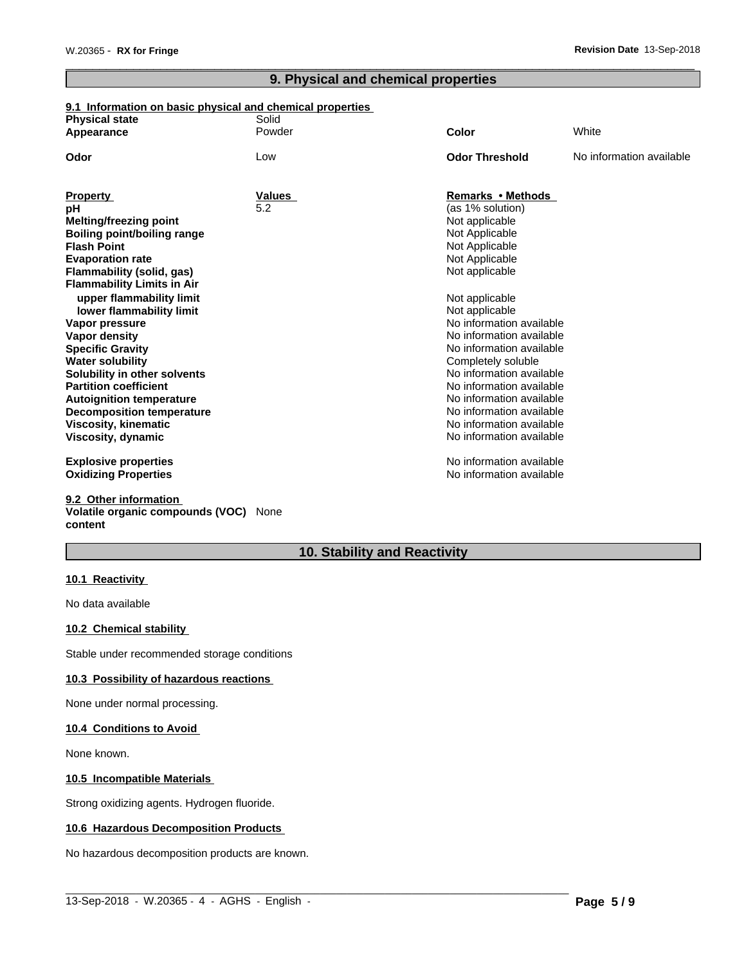# **9. Physical and chemical properties**

#### **9.1 Information on basic physical and chemical properties**

| <b>Physical state</b>              | Solid         |                          |                          |
|------------------------------------|---------------|--------------------------|--------------------------|
| Appearance                         | Powder        | Color                    | White                    |
| Odor                               | Low           | <b>Odor Threshold</b>    | No information available |
|                                    |               |                          |                          |
| <b>Property</b>                    | <b>Values</b> | Remarks • Methods        |                          |
| рH                                 | 5.2           | (as 1% solution)         |                          |
| Melting/freezing point             |               | Not applicable           |                          |
| <b>Boiling point/boiling range</b> |               | Not Applicable           |                          |
| <b>Flash Point</b>                 |               | Not Applicable           |                          |
| <b>Evaporation rate</b>            |               | Not Applicable           |                          |
| <b>Flammability (solid, gas)</b>   |               | Not applicable           |                          |
| <b>Flammability Limits in Air</b>  |               |                          |                          |
| upper flammability limit           |               | Not applicable           |                          |
| lower flammability limit           |               | Not applicable           |                          |
| Vapor pressure                     |               | No information available |                          |
| Vapor density                      |               | No information available |                          |
| <b>Specific Gravity</b>            |               | No information available |                          |
| <b>Water solubility</b>            |               | Completely soluble       |                          |
| Solubility in other solvents       |               | No information available |                          |
| <b>Partition coefficient</b>       |               | No information available |                          |
| <b>Autoignition temperature</b>    |               | No information available |                          |
| <b>Decomposition temperature</b>   |               | No information available |                          |
| <b>Viscosity, kinematic</b>        |               | No information available |                          |
| Viscosity, dynamic                 |               | No information available |                          |
| <b>Explosive properties</b>        |               | No information available |                          |
| <b>Oxidizing Properties</b>        |               | No information available |                          |
| 9.2 Other information              |               |                          |                          |
| Volatile organic compounds (VOC)   | None          |                          |                          |

# **content**

# **10. Stability and Reactivity**

 $\_$  ,  $\_$  ,  $\_$  ,  $\_$  ,  $\_$  ,  $\_$  ,  $\_$  ,  $\_$  ,  $\_$  ,  $\_$  ,  $\_$  ,  $\_$  ,  $\_$  ,  $\_$  ,  $\_$  ,  $\_$  ,  $\_$  ,  $\_$  ,  $\_$  ,  $\_$  ,  $\_$  ,  $\_$  ,  $\_$  ,  $\_$  ,  $\_$  ,  $\_$  ,  $\_$  ,  $\_$  ,  $\_$  ,  $\_$  ,  $\_$  ,  $\_$  ,  $\_$  ,  $\_$  ,  $\_$  ,  $\_$  ,  $\_$  ,

### **10.1 Reactivity**

No data available

#### **10.2 Chemical stability**

Stable under recommended storage conditions

#### **10.3 Possibility of hazardous reactions**

None under normal processing.

#### **10.4 Conditions to Avoid**

None known.

#### **10.5 Incompatible Materials**

Strong oxidizing agents. Hydrogen fluoride.

# **10.6 Hazardous Decomposition Products**

No hazardous decomposition products are known.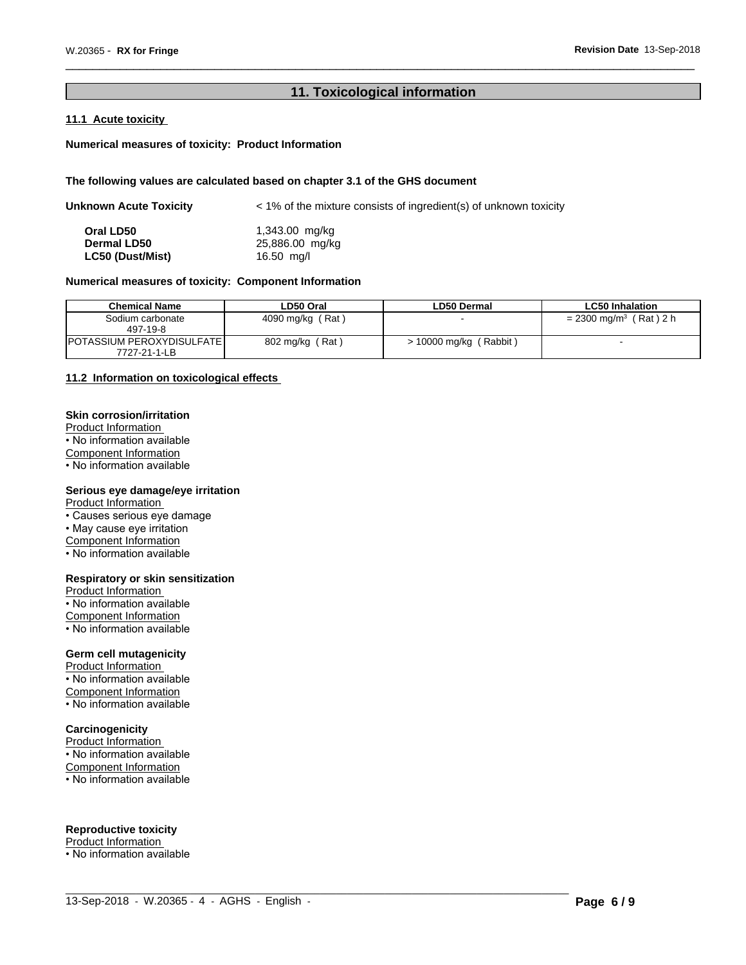# **11. Toxicological information**

### **11.1 Acute toxicity**

#### **Numerical measures of toxicity: Product Information**

#### **The following values are calculated based on chapter 3.1 of the GHS document**

| Unknown Acute Toxicity | $\leq$ 1% of the mixture consists of ingredient(s) of unknown toxicity |  |  |
|------------------------|------------------------------------------------------------------------|--|--|
| Oral LD50              | 1,343.00 mg/kg                                                         |  |  |
| <b>Dermal LD50</b>     | 25,886.00 mg/kg                                                        |  |  |
| LC50 (Dust/Mist)       | 16.50 mg/l                                                             |  |  |

# **Numerical measures of toxicity: Component Information**

| <b>Chemical Name</b>               | LD50 Oral        | LD50 Dermal              | <b>LC50 Inhalation</b>               |
|------------------------------------|------------------|--------------------------|--------------------------------------|
| Sodium carbonate                   | 4090 mg/kg (Rat) |                          | $= 2300$ mg/m <sup>3</sup> (Rat) 2 h |
| 497-19-8                           |                  |                          |                                      |
| <b>IPOTASSIUM PEROXYDISULFATEI</b> | 802 mg/kg (Rat)  | $> 10000$ mg/kg (Rabbit) |                                      |
| 7727-21-1-LB                       |                  |                          |                                      |

 $\_$  ,  $\_$  ,  $\_$  ,  $\_$  ,  $\_$  ,  $\_$  ,  $\_$  ,  $\_$  ,  $\_$  ,  $\_$  ,  $\_$  ,  $\_$  ,  $\_$  ,  $\_$  ,  $\_$  ,  $\_$  ,  $\_$  ,  $\_$  ,  $\_$  ,  $\_$  ,  $\_$  ,  $\_$  ,  $\_$  ,  $\_$  ,  $\_$  ,  $\_$  ,  $\_$  ,  $\_$  ,  $\_$  ,  $\_$  ,  $\_$  ,  $\_$  ,  $\_$  ,  $\_$  ,  $\_$  ,  $\_$  ,  $\_$  ,

#### **11.2 Information on toxicologicaleffects**

#### **Skin corrosion/irritation**

Product Information

• No information available

Component Information

• No information available

# **Serious eye damage/eye irritation**

Product Information

• Causes serious eye damage

• May cause eye irritation

Component Information

• No information available

#### **Respiratory or skin sensitization**

Product Information • No information available Component Information • No information available

#### **Germ cell mutagenicity**

Product Information • No information available Component Information • No information available

#### **Carcinogenicity**

Product Information • No information available Component Information • No information available

#### **Reproductive toxicity**

Product Information<br>• No information available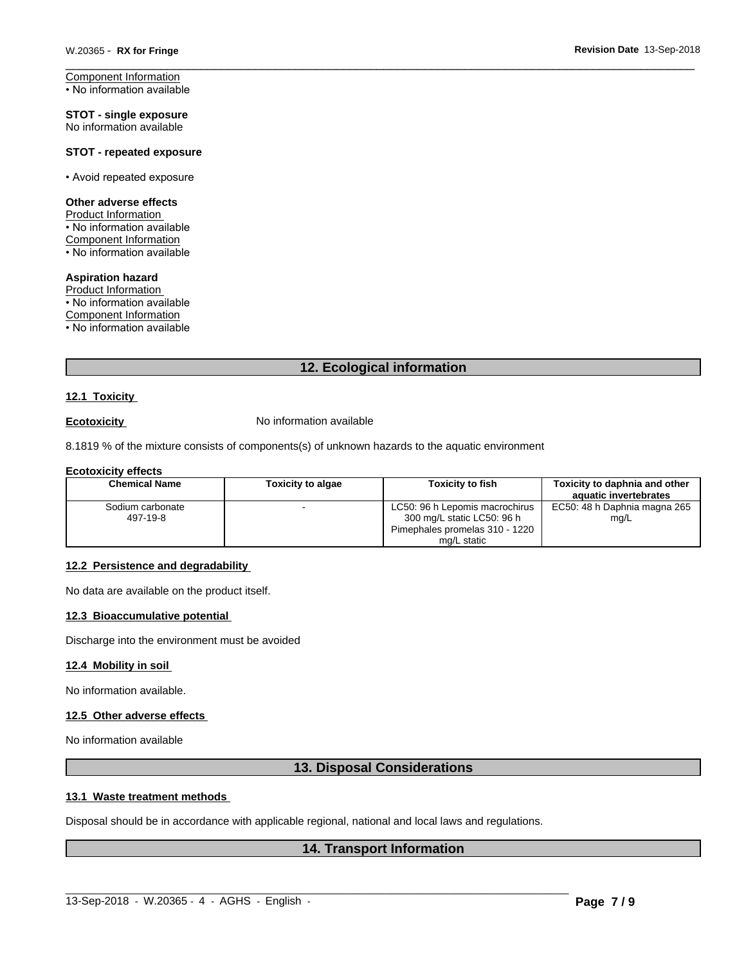Component Information • No information available

**STOT - single exposure** No information available

#### **STOT - repeated exposure**

• Avoid repeated exposure

#### **Other adverse effects**

Product Information

• No information available

Component Information • No information available

#### **Aspiration hazard**

Product Information • No information available Component Information

• No information available

# **12. Ecological information**

#### **12.1 Toxicity**

**Ecotoxicity No information available** 

8.1819 % of the mixture consists of components(s) of unknown hazards to the aquatic environment

#### **Ecotoxicity effects**

| <b>Chemical Name</b>         | Toxicity to algae | Toxicitv to fish                                                                               | Toxicity to daphnia and other<br>aquatic invertebrates |
|------------------------------|-------------------|------------------------------------------------------------------------------------------------|--------------------------------------------------------|
| Sodium carbonate<br>497-19-8 |                   | LC50: 96 h Lepomis macrochirus<br>300 mg/L static LC50: 96 h<br>Pimephales promelas 310 - 1220 | EC50: 48 h Daphnia magna 265<br>mg/L                   |
|                              |                   | mg/L static                                                                                    |                                                        |

#### **12.2 Persistence and degradability**

No data are available on the product itself.

#### **12.3 Bioaccumulative potential**

Discharge into the environment must be avoided

#### **12.4 Mobility in soil**

No information available.

#### **12.5 Other adverse effects**

No information available

# **13. Disposal Considerations**

#### **13.1 Waste treatment methods**

Disposal should be in accordance with applicable regional, national and local laws and regulations.

### **14. Transport Information**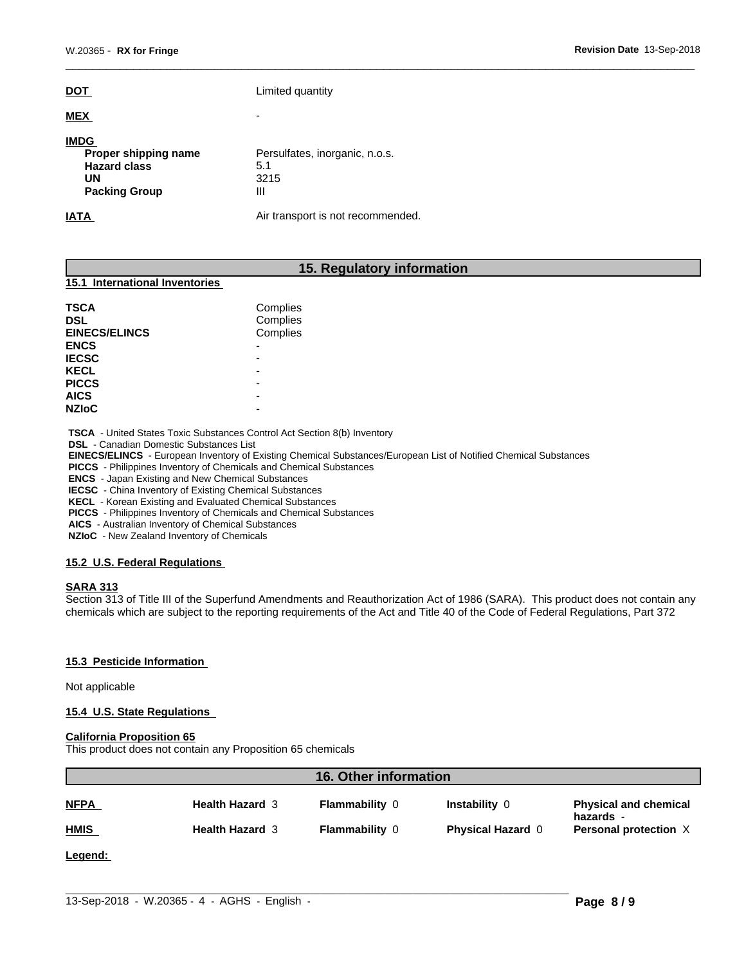| DOT.                                                                                     | Limited quantity                                   |
|------------------------------------------------------------------------------------------|----------------------------------------------------|
| <b>MEX</b>                                                                               | ٠                                                  |
| <b>IMDG</b><br>Proper shipping name<br><b>Hazard class</b><br>UN<br><b>Packing Group</b> | Persulfates, inorganic, n.o.s.<br>5.1<br>3215<br>Ш |
| IATA                                                                                     | Air transport is not recommended.                  |

# **15. Regulatory information**

#### **15.1 International Inventories**

| TSCA<br><b>DSL</b><br><b>EINECS/ELINCS</b> | Complies<br>Complies<br>Complies |
|--------------------------------------------|----------------------------------|
| <b>ENCS</b>                                | $\overline{\phantom{0}}$         |
| <b>IECSC</b>                               |                                  |
| <b>KECL</b>                                | -                                |
| <b>PICCS</b><br><b>AICS</b>                | -<br>-                           |
| <b>NZIoC</b>                               | -                                |

 **TSCA** - United States Toxic Substances Control Act Section 8(b) Inventory

 **DSL** - Canadian Domestic Substances List

 **EINECS/ELINCS** - European Inventory of Existing Chemical Substances/European List of Notified Chemical Substances

 **PICCS** - Philippines Inventory of Chemicals and Chemical Substances

 **ENCS** - Japan Existing and New Chemical Substances

 **IECSC** - China Inventory of Existing Chemical Substances

 **KECL** - Korean Existing and Evaluated Chemical Substances

 **PICCS** - Philippines Inventory of Chemicals and Chemical Substances

 **AICS** - Australian Inventory of Chemical Substances

 **NZIoC** - New Zealand Inventory of Chemicals

#### **15.2 U.S. Federal Regulations**

#### **SARA 313**

Section 313 of Title III of the Superfund Amendments and Reauthorization Act of 1986 (SARA). This product does not contain any chemicals which are subject to the reporting requirements of the Act and Title 40 of the Code of Federal Regulations, Part 372

#### **15.3 Pesticide Information**

Not applicable

#### **15.4 U.S. State Regulations**

#### **California Proposition 65**

This product does not contain any Proposition 65 chemicals

| <b>16. Other information</b> |                        |                       |                          |                                           |
|------------------------------|------------------------|-----------------------|--------------------------|-------------------------------------------|
| <b>NFPA</b>                  | <b>Health Hazard 3</b> | <b>Flammability 0</b> | Instability 0            | <b>Physical and chemical</b><br>hazards - |
| <b>HMIS</b>                  | <b>Health Hazard 3</b> | <b>Flammability 0</b> | <b>Physical Hazard 0</b> | Personal protection X                     |
|                              |                        |                       |                          |                                           |

 $\_$  ,  $\_$  ,  $\_$  ,  $\_$  ,  $\_$  ,  $\_$  ,  $\_$  ,  $\_$  ,  $\_$  ,  $\_$  ,  $\_$  ,  $\_$  ,  $\_$  ,  $\_$  ,  $\_$  ,  $\_$  ,  $\_$  ,  $\_$  ,  $\_$  ,  $\_$  ,  $\_$  ,  $\_$  ,  $\_$  ,  $\_$  ,  $\_$  ,  $\_$  ,  $\_$  ,  $\_$  ,  $\_$  ,  $\_$  ,  $\_$  ,  $\_$  ,  $\_$  ,  $\_$  ,  $\_$  ,  $\_$  ,  $\_$  ,

**Legend:**